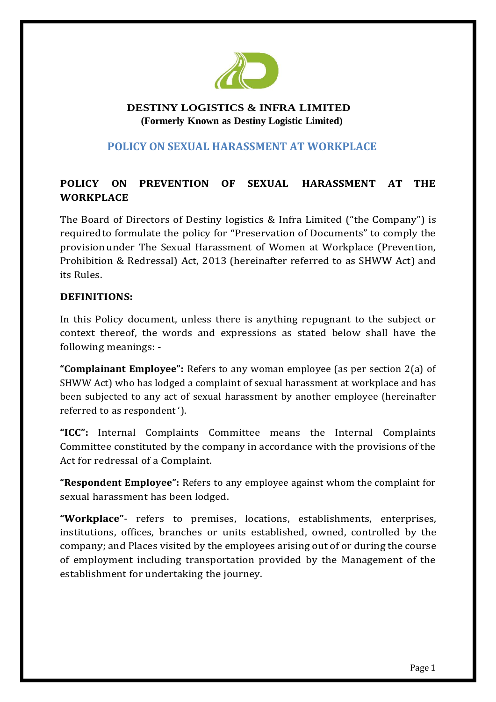

## **DESTINY LOGISTICS & INFRA LIMITED (Formerly Known as Destiny Logistic Limited)**

## **POLICY ON SEXUAL HARASSMENT AT WORKPLACE**

# **POLICY ON PREVENTION OF SEXUAL HARASSMENT AT THE WORKPLACE**

The Board of Directors of Destiny logistics & Infra Limited ("the Company") is requiredto formulate the policy for "Preservation of Documents" to comply the provision under The Sexual Harassment of Women at Workplace (Prevention, Prohibition & Redressal) Act, 2013 (hereinafter referred to as SHWW Act) and its Rules.

#### **DEFINITIONS:**

In this Policy document, unless there is anything repugnant to the subject or context thereof, the words and expressions as stated below shall have the following meanings: -

**"Complainant Employee":** Refers to any woman employee (as per section 2(a) of SHWW Act) who has lodged a complaint of sexual harassment at workplace and has been subjected to any act of sexual harassment by another employee (hereinafter referred to as respondent ').

**"ICC":** Internal Complaints Committee means the Internal Complaints Committee constituted by the company in accordance with the provisions of the Act for redressal of a Complaint.

**"Respondent Employee":** Refers to any employee against whom the complaint for sexual harassment has been lodged.

**"Workplace"**- refers to premises, locations, establishments, enterprises, institutions, offices, branches or units established, owned, controlled by the company; and Places visited by the employees arising out of or during the course of employment including transportation provided by the Management of the establishment for undertaking the journey.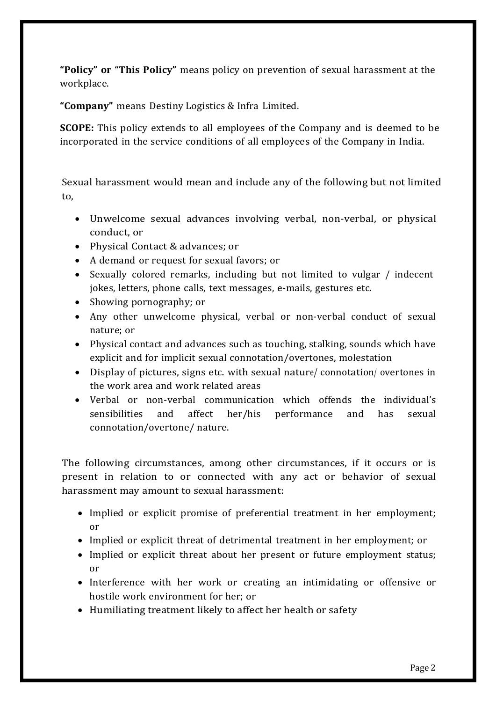**"Policy" or "This Policy"** means policy on prevention of sexual harassment at the workplace.

**"Company"** means Destiny Logistics & Infra Limited.

**SCOPE:** This policy extends to all employees of the Company and is deemed to be incorporated in the service conditions of all employees of the Company in India.

Sexual harassment would mean and include any of the following but not limited to,

- Unwelcome sexual advances involving verbal, non-verbal, or physical conduct, or
- Physical Contact & advances: or
- A demand or request for sexual favors; or
- Sexually colored remarks, including but not limited to vulgar / indecent jokes, letters, phone calls, text messages, e-mails, gestures etc.
- Showing pornography; or
- Any other unwelcome physical, verbal or non-verbal conduct of sexual nature; or
- Physical contact and advances such as touching, stalking, sounds which have explicit and for implicit sexual connotation/overtones, molestation
- Display of pictures, signs etc. with sexual nature/ connotation/ overtones in the work area and work related areas
- Verbal or non-verbal communication which offends the individual's sensibilities and affect her/his performance and has sexual connotation/overtone/ nature.

The following circumstances, among other circumstances, if it occurs or is present in relation to or connected with any act or behavior of sexual harassment may amount to sexual harassment:

- Implied or explicit promise of preferential treatment in her employment; or
- Implied or explicit threat of detrimental treatment in her employment; or
- Implied or explicit threat about her present or future employment status; or
- Interference with her work or creating an intimidating or offensive or hostile work environment for her; or
- Humiliating treatment likely to affect her health or safety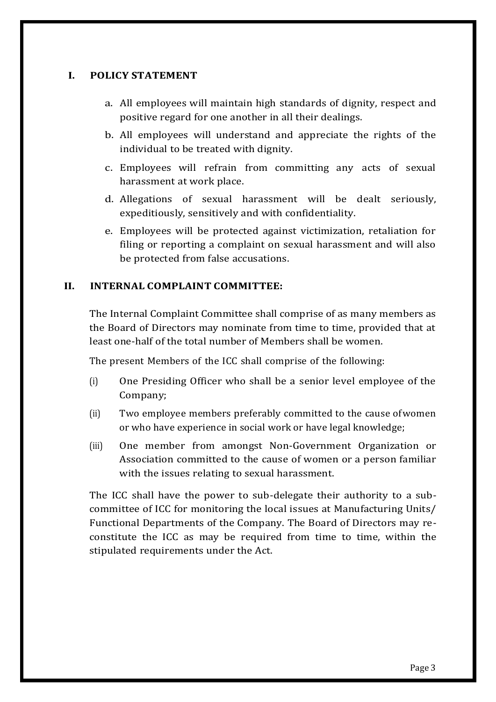#### **I. POLICY STATEMENT**

- a. All employees will maintain high standards of dignity, respect and positive regard for one another in all their dealings.
- b. All employees will understand and appreciate the rights of the individual to be treated with dignity.
- c. Employees will refrain from committing any acts of sexual harassment at work place.
- d. Allegations of sexual harassment will be dealt seriously, expeditiously, sensitively and with confidentiality.
- e. Employees will be protected against victimization, retaliation for filing or reporting a complaint on sexual harassment and will also be protected from false accusations.

## **II. INTERNAL COMPLAINT COMMITTEE:**

The Internal Complaint Committee shall comprise of as many members as the Board of Directors may nominate from time to time, provided that at least one-half of the total number of Members shall be women.

The present Members of the ICC shall comprise of the following:

- (i) One Presiding Officer who shall be a senior level employee of the Company;
- (ii) Two employee members preferably committed to the cause ofwomen or who have experience in social work or have legal knowledge;
- (iii) One member from amongst Non-Government Organization or Association committed to the cause of women or a person familiar with the issues relating to sexual harassment.

The ICC shall have the power to sub-delegate their authority to a subcommittee of ICC for monitoring the local issues at Manufacturing Units/ Functional Departments of the Company. The Board of Directors may reconstitute the ICC as may be required from time to time, within the stipulated requirements under the Act.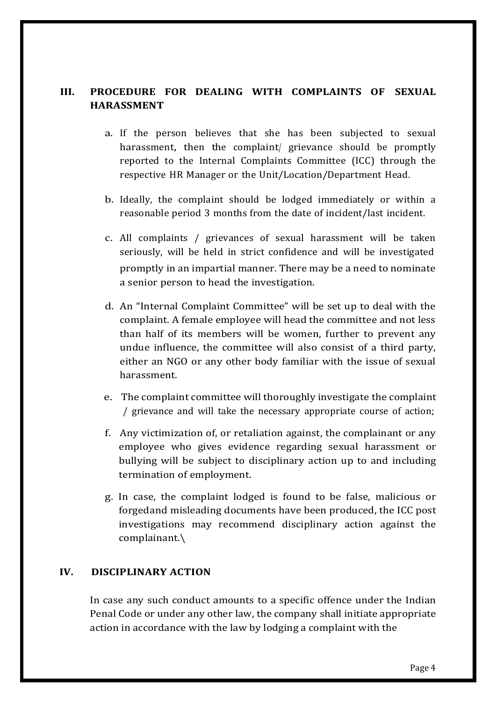## **III. PROCEDURE FOR DEALING WITH COMPLAINTS OF SEXUAL HARASSMENT**

- a. If the person believes that she has been subjected to sexual harassment, then the complaint/ grievance should be promptly reported to the Internal Complaints Committee (ICC) through the respective HR Manager or the Unit/Location/Department Head.
- b. Ideally, the complaint should be lodged immediately or within a reasonable period 3 months from the date of incident/last incident.
- c. All complaints / grievances of sexual harassment will be taken seriously, will be held in strict confidence and will be investigated promptly in an impartial manner. There may be a need to nominate a senior person to head the investigation.
- d. An "Internal Complaint Committee" will be set up to deal with the complaint. A female employee will head the committee and not less than half of its members will be women, further to prevent any undue influence, the committee will also consist of a third party, either an NGO or any other body familiar with the issue of sexual harassment.
- e. The complaint committee will thoroughly investigate the complaint / grievance and will take the necessary appropriate course of action;
- f. Any victimization of, or retaliation against, the complainant or any employee who gives evidence regarding sexual harassment or bullying will be subject to disciplinary action up to and including termination of employment.
- g. In case, the complaint lodged is found to be false, malicious or forgedand misleading documents have been produced, the ICC post investigations may recommend disciplinary action against the complainant.\

## **IV. DISCIPLINARY ACTION**

In case any such conduct amounts to a specific offence under the Indian Penal Code or under any other law, the company shall initiate appropriate action in accordance with the law by lodging a complaint with the